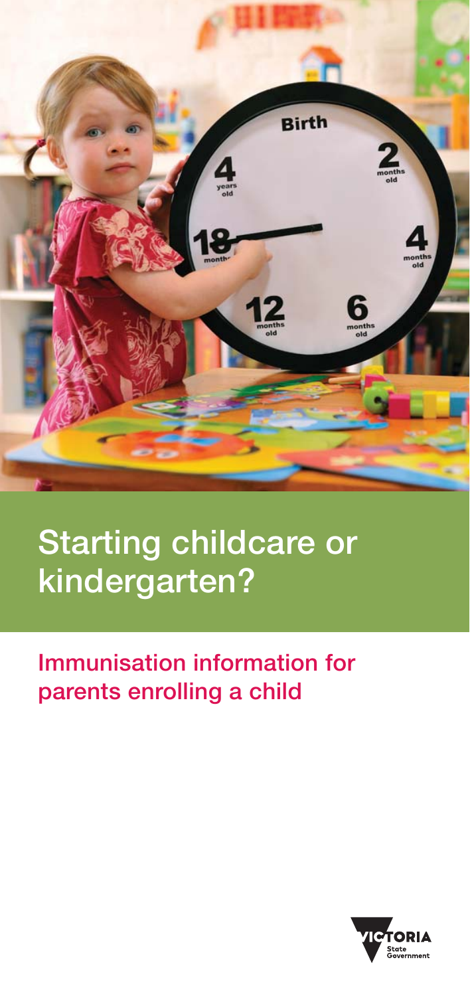

### **Starting childcare or kindergarten?**

### **Immunisation information for parents enrolling a child**

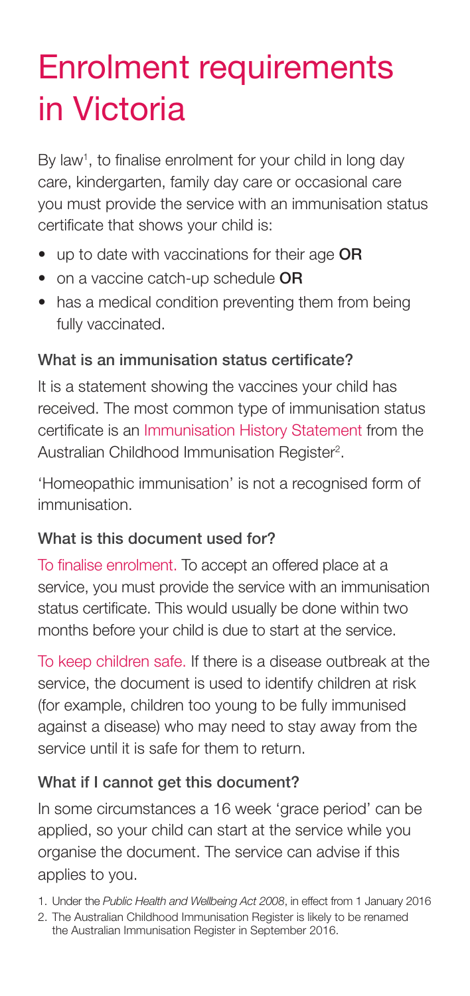## Enrolment requirements in Victoria

By law<sup>1</sup>, to finalise enrolment for your child in long day care, kindergarten, family day care or occasional care you must provide the service with an immunisation status certificate that shows your child is:

- up to date with vaccinations for their age **OR**
- on a vaccine catch-up schedule **OR**
- has a medical condition preventing them from being fully vaccinated.

#### **What is an immunisation status certificate?**

It is a statement showing the vaccines your child has received. The most common type of immunisation status certificate is an Immunisation History Statement from the Australian Childhood Immunisation Register<sup>2</sup>.

'Homeopathic immunisation' is not a recognised form of immunisation.

#### **What is this document used for?**

To finalise enrolment. To accept an offered place at a service, you must provide the service with an immunisation status certificate. This would usually be done within two months before your child is due to start at the service.

To keep children safe. If there is a disease outbreak at the service, the document is used to identify children at risk (for example, children too young to be fully immunised against a disease) who may need to stay away from the service until it is safe for them to return.

#### **What if I cannot get this document?**

In some circumstances a 16 week 'grace period' can be applied, so your child can start at the service while you organise the document. The service can advise if this applies to you.

1. Under the Public Health and Wellbeing Act 2008, in effect from 1 January 2016

<sup>2.</sup> The Australian Childhood Immunisation Register is likely to be renamed the Australian Immunisation Register in September 2016.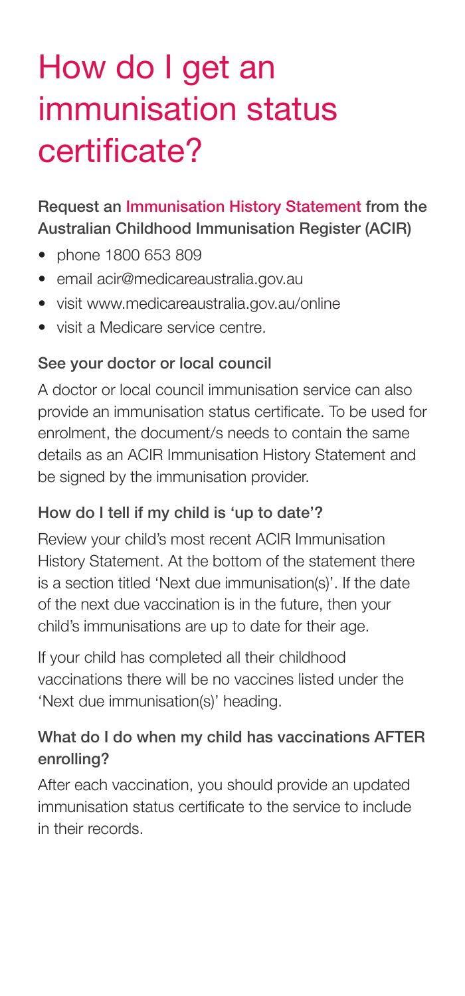## How do I get an immunisation status certificate?

#### **Request an Immunisation History Statement from the Australian Childhood Immunisation Register (ACIR)**

- phone 1800 653 809
- email acir@medicareaustralia.gov.au
- visit www.medicareaustralia.gov.au/online
- visit a Medicare service centre.

#### **See your doctor or local council**

A doctor or local council immunisation service can also provide an immunisation status certificate. To be used for enrolment, the document/s needs to contain the same details as an ACIR Immunisation History Statement and be signed by the immunisation provider.

#### **How do I tell if my child is 'up to date'?**

Review your child's most recent ACIR Immunisation History Statement. At the bottom of the statement there is a section titled 'Next due immunisation(s)'. If the date of the next due vaccination is in the future, then your child's immunisations are up to date for their age.

If your child has completed all their childhood vaccinations there will be no vaccines listed under the 'Next due immunisation(s)' heading.

#### **What do I do when my child has vaccinations AFTER enrolling?**

After each vaccination, you should provide an updated immunisation status certificate to the service to include in their records.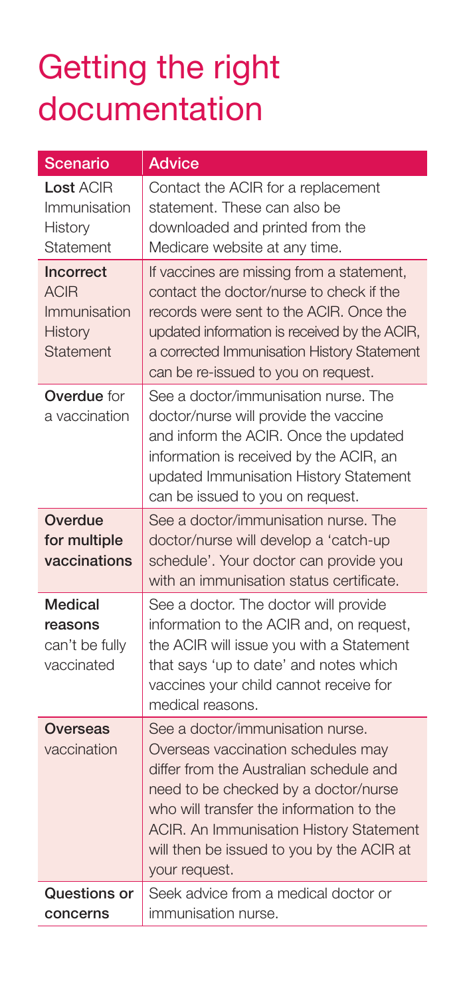### Getting the right documentation

| <b>Scenario</b>                                                  | <b>Advice</b>                                                                                                                                                                                                                                                                                                  |
|------------------------------------------------------------------|----------------------------------------------------------------------------------------------------------------------------------------------------------------------------------------------------------------------------------------------------------------------------------------------------------------|
| <b>Lost ACIR</b><br>Immunisation<br>History<br>Statement         | Contact the ACIR for a replacement<br>statement. These can also be<br>downloaded and printed from the<br>Medicare website at any time.                                                                                                                                                                         |
| Incorrect<br><b>ACIR</b><br>Immunisation<br>History<br>Statement | If vaccines are missing from a statement,<br>contact the doctor/nurse to check if the<br>records were sent to the ACIR. Once the<br>updated information is received by the ACIR,<br>a corrected Immunisation History Statement<br>can be re-issued to you on request.                                          |
| <b>Overdue</b> for<br>a vaccination                              | See a doctor/immunisation nurse. The<br>doctor/nurse will provide the vaccine<br>and inform the ACIR. Once the updated<br>information is received by the ACIR, an<br>updated Immunisation History Statement<br>can be issued to you on request.                                                                |
| Overdue<br>for multiple<br>vaccinations                          | See a doctor/immunisation nurse. The<br>doctor/nurse will develop a 'catch-up<br>schedule'. Your doctor can provide you<br>with an immunisation status certificate.                                                                                                                                            |
| Medical<br>reasons<br>can't be fully<br>vaccinated               | See a doctor. The doctor will provide<br>information to the ACIR and, on request,<br>the ACIR will issue you with a Statement<br>that says 'up to date' and notes which<br>vaccines your child cannot receive for<br>medical reasons.                                                                          |
| Overseas<br>vaccination                                          | See a doctor/immunisation nurse.<br>Overseas vaccination schedules may<br>differ from the Australian schedule and<br>need to be checked by a doctor/nurse<br>who will transfer the information to the<br>ACIR. An Immunisation History Statement<br>will then be issued to you by the ACIR at<br>your request. |
| Questions or<br>concerns                                         | Seek advice from a medical doctor or<br>immunisation nurse.                                                                                                                                                                                                                                                    |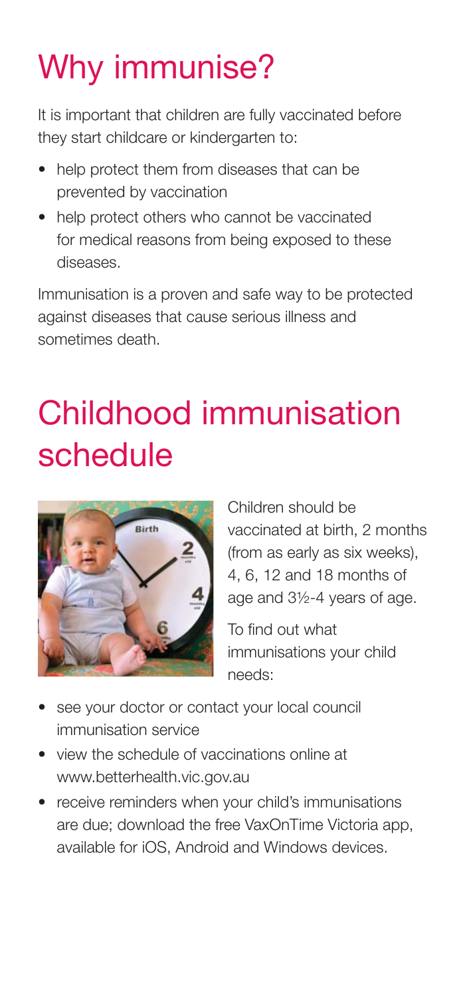# Why immunise?

It is important that children are fully vaccinated before they start childcare or kindergarten to:

- help protect them from diseases that can be prevented by vaccination
- help protect others who cannot be vaccinated for medical reasons from being exposed to these diseases.

Immunisation is a proven and safe way to be protected against diseases that cause serious illness and sometimes death.

# Childhood immunisation schedule



Children should be vaccinated at birth, 2 months (from as early as six weeks), 4, 6, 12 and 18 months of age and 3½-4 years of age.

To find out what immunisations your child needs:

- see your doctor or contact your local council immunisation service
- view the schedule of vaccinations online at www.betterhealth.vic.gov.au
- receive reminders when your child's immunisations are due; download the free VaxOnTime Victoria app, available for iOS, Android and Windows devices.